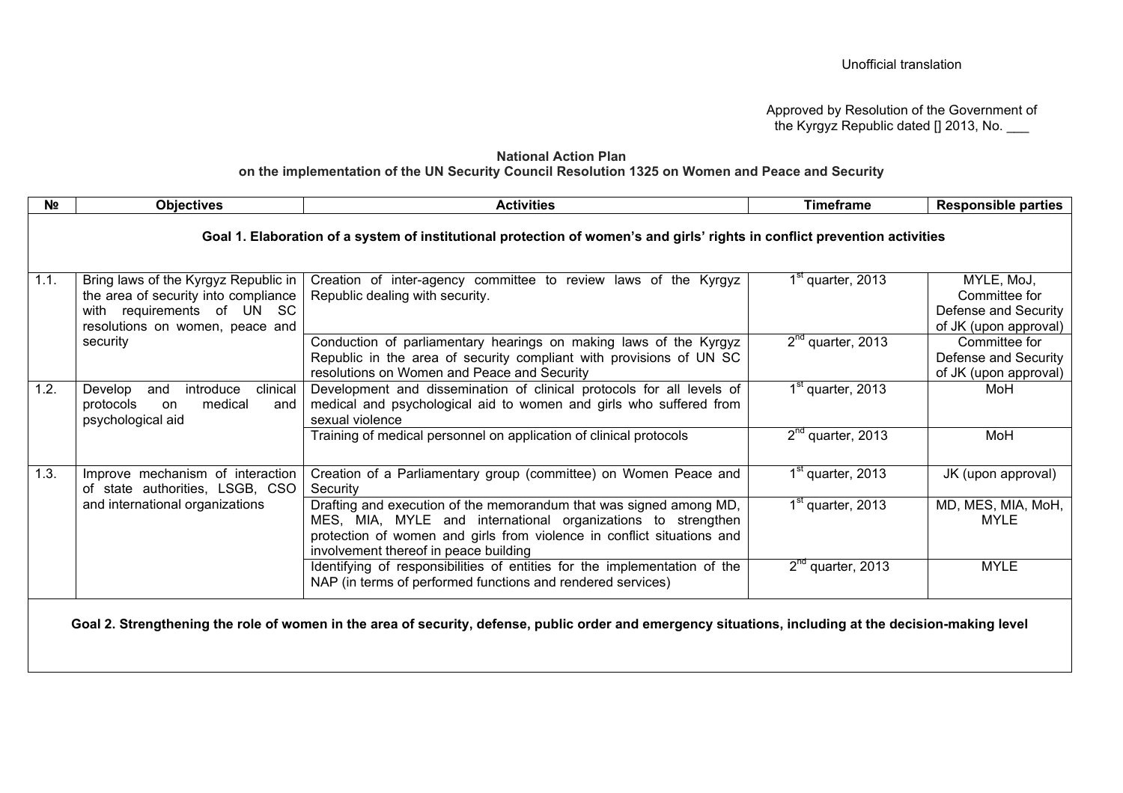Approved by Resolution of the Government of the Kyrgyz Republic dated [] 2013, No.

## **National Action Plan on the implementation of the UN Security Council Resolution 1325 on Women and Peace and Security**

| N <sub>2</sub> | <b>Objectives</b>                                                                                                                                         | <b>Activities</b>                                                                                                                                                                                                                                     | <b>Timeframe</b>              | <b>Responsible parties</b>                                                   |  |  |  |  |
|----------------|-----------------------------------------------------------------------------------------------------------------------------------------------------------|-------------------------------------------------------------------------------------------------------------------------------------------------------------------------------------------------------------------------------------------------------|-------------------------------|------------------------------------------------------------------------------|--|--|--|--|
|                | Goal 1. Elaboration of a system of institutional protection of women's and girls' rights in conflict prevention activities                                |                                                                                                                                                                                                                                                       |                               |                                                                              |  |  |  |  |
| 1.1.           | Bring laws of the Kyrgyz Republic in<br>the area of security into compliance<br>with requirements of UN SC<br>resolutions on women, peace and<br>security | Creation of inter-agency committee to review laws of the Kyrgyz<br>Republic dealing with security.                                                                                                                                                    | 1 <sup>st</sup> quarter, 2013 | MYLE, MoJ,<br>Committee for<br>Defense and Security<br>of JK (upon approval) |  |  |  |  |
|                |                                                                                                                                                           | Conduction of parliamentary hearings on making laws of the Kyrgyz<br>Republic in the area of security compliant with provisions of UN SC<br>resolutions on Women and Peace and Security                                                               | $2nd$ quarter, 2013           | Committee for<br>Defense and Security<br>of JK (upon approval)               |  |  |  |  |
| 1.2.           | introduce<br>clinical<br>Develop<br>and<br>medical<br>protocols<br>on<br>and<br>psychological aid                                                         | Development and dissemination of clinical protocols for all levels of<br>medical and psychological aid to women and girls who suffered from<br>sexual violence                                                                                        | $1st$ quarter, 2013           | MoH                                                                          |  |  |  |  |
|                |                                                                                                                                                           | Training of medical personnel on application of clinical protocols                                                                                                                                                                                    | $2nd$ quarter, 2013           | MoH                                                                          |  |  |  |  |
| 1.3.           | Improve mechanism of interaction<br>of state authorities, LSGB, CSO<br>and international organizations                                                    | Creation of a Parliamentary group (committee) on Women Peace and<br>Security                                                                                                                                                                          | 1 <sup>st</sup> quarter, 2013 | JK (upon approval)                                                           |  |  |  |  |
|                |                                                                                                                                                           | Drafting and execution of the memorandum that was signed among MD,<br>MES, MIA, MYLE and international organizations to strengthen<br>protection of women and girls from violence in conflict situations and<br>involvement thereof in peace building | $1st$ quarter, 2013           | MD, MES, MIA, MoH,<br><b>MYLE</b>                                            |  |  |  |  |
|                |                                                                                                                                                           | Identifying of responsibilities of entities for the implementation of the<br>NAP (in terms of performed functions and rendered services)                                                                                                              | $2nd$ quarter, 2013           | <b>MYLE</b>                                                                  |  |  |  |  |
|                | Goal 2. Strengthening the role of women in the area of security, defense, public order and emergency situations, including at the decision-making level   |                                                                                                                                                                                                                                                       |                               |                                                                              |  |  |  |  |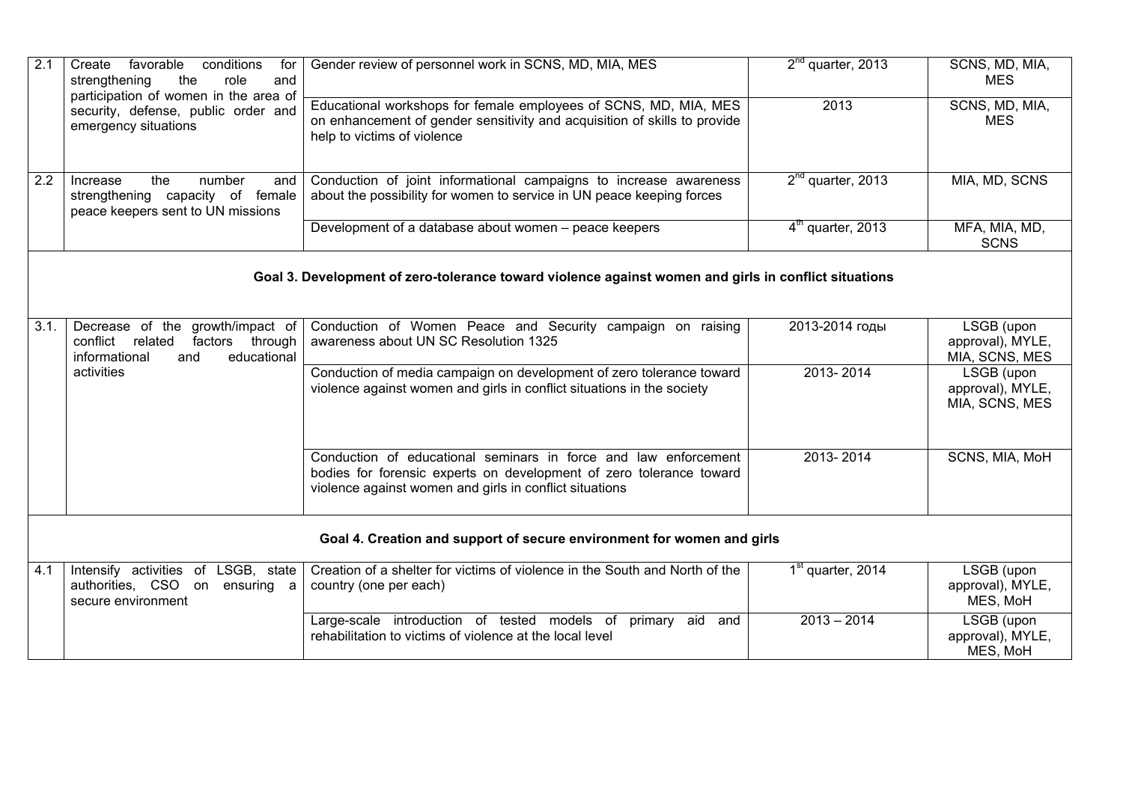| 2.1                                                                                                  | favorable<br>conditions<br>Create<br>for<br>strengthening<br>the<br>role<br>and<br>participation of women in the area of<br>security, defense, public order and<br>emergency situations | Gender review of personnel work in SCNS, MD, MIA, MES                                                                                                                                             | $2nd$ quarter, 2013           | SCNS, MD, MIA,<br><b>MES</b>                     |  |  |  |  |
|------------------------------------------------------------------------------------------------------|-----------------------------------------------------------------------------------------------------------------------------------------------------------------------------------------|---------------------------------------------------------------------------------------------------------------------------------------------------------------------------------------------------|-------------------------------|--------------------------------------------------|--|--|--|--|
|                                                                                                      |                                                                                                                                                                                         | Educational workshops for female employees of SCNS, MD, MIA, MES<br>on enhancement of gender sensitivity and acquisition of skills to provide<br>help to victims of violence                      | 2013                          | SCNS, MD, MIA,<br><b>MES</b>                     |  |  |  |  |
| 2.2                                                                                                  | the<br>number<br>Increase<br>and<br>strengthening capacity of female<br>peace keepers sent to UN missions                                                                               | Conduction of joint informational campaigns to increase awareness<br>about the possibility for women to service in UN peace keeping forces                                                        | $2nd$ quarter, 2013           | MIA, MD, SCNS                                    |  |  |  |  |
|                                                                                                      |                                                                                                                                                                                         | Development of a database about women - peace keepers                                                                                                                                             | $4th$ quarter, 2013           | MFA, MIA, MD,<br><b>SCNS</b>                     |  |  |  |  |
| Goal 3. Development of zero-tolerance toward violence against women and girls in conflict situations |                                                                                                                                                                                         |                                                                                                                                                                                                   |                               |                                                  |  |  |  |  |
| 3.1.                                                                                                 | Decrease of the growth/impact of<br>conflict related<br>factors through<br>informational<br>educational<br>and<br>activities                                                            | Conduction of Women Peace and Security campaign on raising<br>awareness about UN SC Resolution 1325                                                                                               | 2013-2014 годы                | LSGB (upon<br>approval), MYLE,<br>MIA, SCNS, MES |  |  |  |  |
|                                                                                                      |                                                                                                                                                                                         | Conduction of media campaign on development of zero tolerance toward<br>violence against women and girls in conflict situations in the society                                                    | 2013-2014                     | LSGB (upon<br>approval), MYLE,<br>MIA, SCNS, MES |  |  |  |  |
|                                                                                                      |                                                                                                                                                                                         | Conduction of educational seminars in force and law enforcement<br>bodies for forensic experts on development of zero tolerance toward<br>violence against women and girls in conflict situations | 2013-2014                     | SCNS, MIA, MoH                                   |  |  |  |  |
| Goal 4. Creation and support of secure environment for women and girls                               |                                                                                                                                                                                         |                                                                                                                                                                                                   |                               |                                                  |  |  |  |  |
| 4.1                                                                                                  | Intensify activities of LSGB, state<br>authorities, CSO on ensuring a<br>secure environment                                                                                             | Creation of a shelter for victims of violence in the South and North of the<br>country (one per each)                                                                                             | 1 <sup>st</sup> quarter, 2014 | LSGB (upon<br>approval), MYLE,<br>MES, MoH       |  |  |  |  |
|                                                                                                      |                                                                                                                                                                                         | Large-scale introduction of tested models of primary aid and<br>rehabilitation to victims of violence at the local level                                                                          | $2013 - 2014$                 | LSGB (upon<br>approval), MYLE,<br>MES, MoH       |  |  |  |  |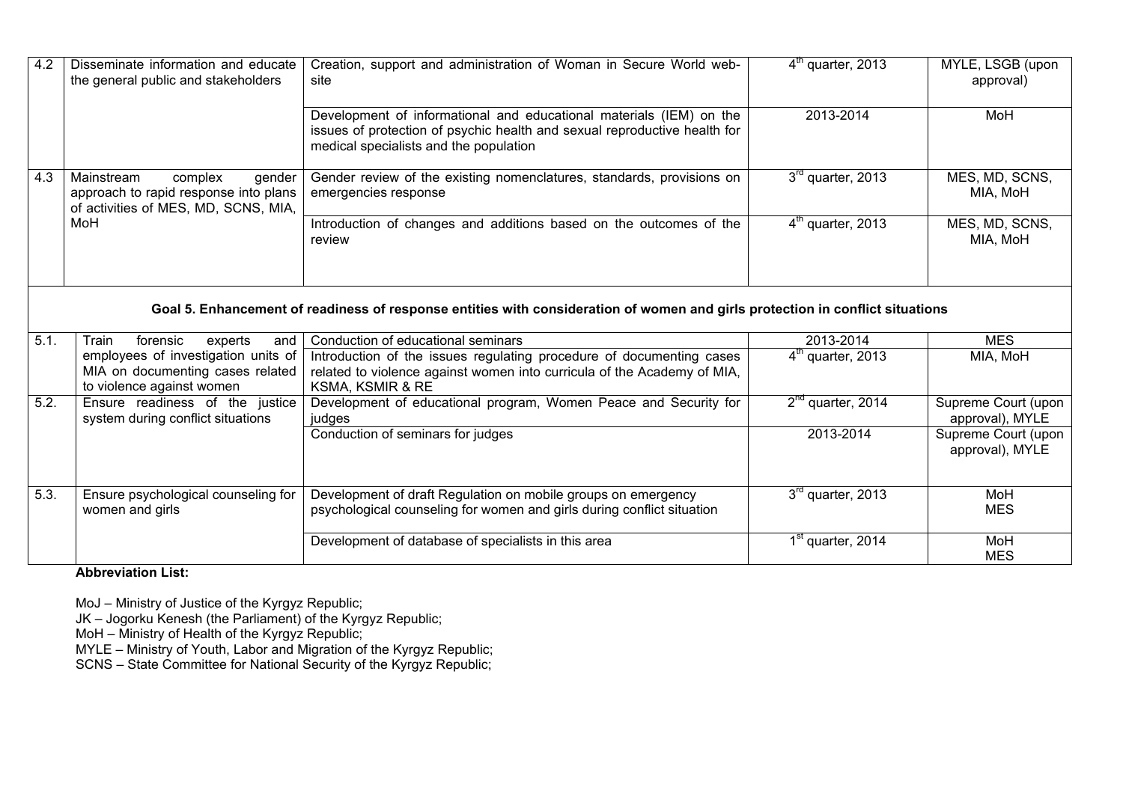| 4.2                                                                                                                           | Disseminate information and educate<br>the general public and stakeholders                                       | Creation, support and administration of Woman in Secure World web-<br>site                                                                                                                 | $4th$ quarter, 2013           | MYLE, LSGB (upon<br>approval)          |  |  |  |
|-------------------------------------------------------------------------------------------------------------------------------|------------------------------------------------------------------------------------------------------------------|--------------------------------------------------------------------------------------------------------------------------------------------------------------------------------------------|-------------------------------|----------------------------------------|--|--|--|
|                                                                                                                               |                                                                                                                  | Development of informational and educational materials (IEM) on the<br>issues of protection of psychic health and sexual reproductive health for<br>medical specialists and the population | 2013-2014                     | MoH                                    |  |  |  |
| 4.3                                                                                                                           | Mainstream<br>complex<br>gender<br>approach to rapid response into plans<br>of activities of MES, MD, SCNS, MIA, | Gender review of the existing nomenclatures, standards, provisions on<br>emergencies response                                                                                              | 3 <sup>rd</sup> quarter, 2013 | MES, MD, SCNS,<br>MIA, MoH             |  |  |  |
|                                                                                                                               | MoH                                                                                                              | Introduction of changes and additions based on the outcomes of the<br>review                                                                                                               | $4m$ quarter, 2013            | MES, MD, SCNS,<br>MIA, MoH             |  |  |  |
| Goal 5. Enhancement of readiness of response entities with consideration of women and girls protection in conflict situations |                                                                                                                  |                                                                                                                                                                                            |                               |                                        |  |  |  |
| 5.1.                                                                                                                          | forensic<br>experts<br>Train<br>and                                                                              | Conduction of educational seminars                                                                                                                                                         | 2013-2014                     | <b>MES</b>                             |  |  |  |
|                                                                                                                               | employees of investigation units of<br>MIA on documenting cases related<br>to violence against women             | Introduction of the issues regulating procedure of documenting cases<br>related to violence against women into curricula of the Academy of MIA,<br>KSMA, KSMIR & RE                        | $4th$ quarter, 2013           | MIA, MoH                               |  |  |  |
| 5.2.                                                                                                                          | Ensure readiness of the justice<br>system during conflict situations                                             | Development of educational program, Women Peace and Security for<br>judges                                                                                                                 | $2^{nd}$ quarter, 2014        | Supreme Court (upon<br>approval), MYLE |  |  |  |
|                                                                                                                               |                                                                                                                  | Conduction of seminars for judges                                                                                                                                                          | 2013-2014                     | Supreme Court (upon<br>approval), MYLE |  |  |  |
| 5.3.                                                                                                                          | Ensure psychological counseling for<br>women and girls                                                           | Development of draft Regulation on mobile groups on emergency<br>psychological counseling for women and girls during conflict situation                                                    | $3rd$ quarter, 2013           | MoH<br><b>MES</b>                      |  |  |  |
|                                                                                                                               |                                                                                                                  | Development of database of specialists in this area                                                                                                                                        | 1 <sup>st</sup> quarter, 2014 | MoH<br><b>MES</b>                      |  |  |  |

**Abbreviation List:**

MoJ – Ministry of Justice of the Kyrgyz Republic;

JK – Jogorku Kenesh (the Parliament) of the Kyrgyz Republic;

MoH – Ministry of Health of the Kyrgyz Republic;

MYLE – Ministry of Youth, Labor and Migration of the Kyrgyz Republic;

SCNS – State Committee for National Security of the Kyrgyz Republic;